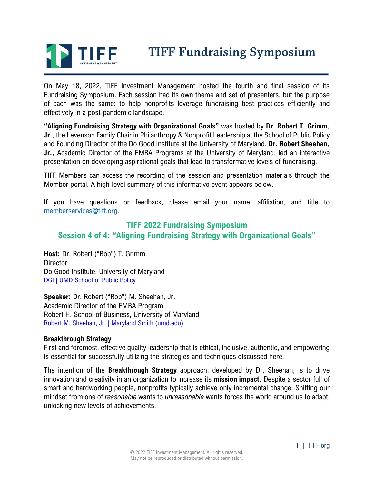

# **TIFF Fundraising Symposium**

On May 18, 2022, TIFF Investment Management hosted the fourth and final session of its Fundraising Symposium. Each session had its own theme and set of presenters, but the purpose of each was the same: to help nonprofits leverage fundraising best practices efficiently and effectively in a post-pandemic landscape.

**"Aligning Fundraising Strategy with Organizational Goals"** was hosted by **Dr. Robert T. Grimm, Jr.,** the Levenson Family Chair in Philanthropy & Nonprofit Leadership at the School of Public Policy and Founding Director of the Do Good Institute at the University of Maryland. **Dr. Robert Sheehan, Jr.,** Academic Director of the EMBA Programs at the University of Maryland, led an interactive presentation on developing aspirational goals that lead to transformative levels of fundraising.

TIFF Members can access the recording of the session and presentation materials through the Member portal. A high-level summary of this informative event appears below.

If you have questions or feedback, please email your name, affiliation, and title to [memberservices@tiff.org.](mailto:memberservices@tiff.org)

## **TIFF 2022 Fundraising Symposium Session 4 of 4: "Aligning Fundraising Strategy with Organizational Goals"**

**Host:** Dr. Robert ("Bob") T. Grimm **Director** Do Good Institute, University of Maryland [DGI | UMD School of Public Policy](https://dogood.umd.edu/)

**Speaker:** Dr. Robert ("Rob") M. Sheehan, Jr. Academic Director of the EMBA Program Robert H. School of Business, University of Maryland [Robert M. Sheehan, Jr. | Maryland Smith \(umd.edu\)](https://www.rhsmith.umd.edu/directory/robert-m-sheehan-jr)

## **Breakthrough Strategy**

First and foremost, effective quality leadership that is ethical, inclusive, authentic, and empowering is essential for successfully utilizing the strategies and techniques discussed here.

The intention of the **Breakthrough Strategy** approach, developed by Dr. Sheehan, is to drive innovation and creativity in an organization to increase its **mission impact.** Despite a sector full of smart and hardworking people, nonprofits typically achieve only incremental change. Shifting our mindset from one of *reasonable* wants to *unreasonable* wants forces the world around us to adapt, unlocking new levels of achievements.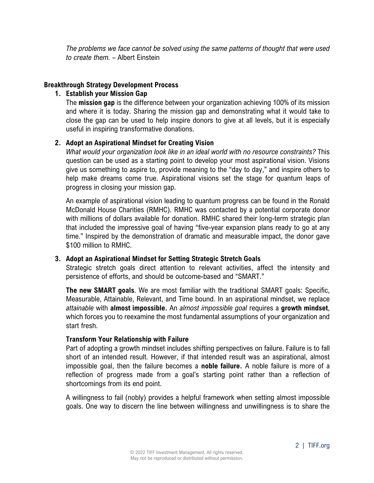*The problems we face cannot be solved using the same patterns of thought that were used to create them.* – Albert Einstein

## **Breakthrough Strategy Development Process**

## **1. Establish your Mission Gap**

The **mission gap** is the difference between your organization achieving 100% of its mission and where it is today. Sharing the mission gap and demonstrating what it would take to close the gap can be used to help inspire donors to give at all levels, but it is especially useful in inspiring transformative donations.

## **2. Adopt an Aspirational Mindset for Creating Vision**

*What would your organization look like in an ideal world with no resource constraints?* This question can be used as a starting point to develop your most aspirational vision. Visions give us something to aspire to, provide meaning to the "day to day," and inspire others to help make dreams come true. Aspirational visions set the stage for quantum leaps of progress in closing your mission gap.

An example of aspirational vision leading to quantum progress can be found in the Ronald McDonald House Charities (RMHC). RMHC was contacted by a potential corporate donor with millions of dollars available for donation. RMHC shared their long-term strategic plan that included the impressive goal of having "five-year expansion plans ready to go at any time." Inspired by the demonstration of dramatic and measurable impact, the donor gave \$100 million to RMHC.

## **3. Adopt an Aspirational Mindset for Setting Strategic Stretch Goals**

Strategic stretch goals direct attention to relevant activities, affect the intensity and persistence of efforts, and should be outcome-based and "SMART."

**The new SMART goals**. We are most familiar with the traditional SMART goals: Specific, Measurable, Attainable, Relevant, and Time bound. In an aspirational mindset, we replace *attainable* with **almost impossible.** An *almost impossible goal* requires a **growth mindset**, which forces you to reexamine the most fundamental assumptions of your organization and start fresh.

#### **Transform Your Relationship with Failure**

Part of adopting a growth mindset includes shifting perspectives on failure. Failure is to fall short of an intended result. However, if that intended result was an aspirational, almost impossible goal, then the failure becomes a **noble failure.** A noble failure is more of a reflection of progress made from a goal's starting point rather than a reflection of shortcomings from its end point.

A willingness to fail (nobly) provides a helpful framework when setting almost impossible goals. One way to discern the line between willingness and unwillingness is to share the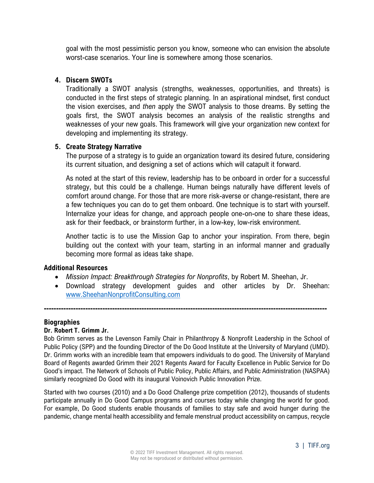goal with the most pessimistic person you know, someone who can envision the absolute worst-case scenarios. Your line is somewhere among those scenarios.

## **4. Discern SWOTs**

Traditionally a SWOT analysis (strengths, weaknesses, opportunities, and threats) is conducted in the first steps of strategic planning. In an aspirational mindset, first conduct the vision exercises, and *then* apply the SWOT analysis to those dreams. By setting the goals first, the SWOT analysis becomes an analysis of the realistic strengths and weaknesses of your new goals. This framework will give your organization new context for developing and implementing its strategy.

## **5. Create Strategy Narrative**

The purpose of a strategy is to guide an organization toward its desired future, considering its current situation, and designing a set of actions which will catapult it forward.

As noted at the start of this review, leadership has to be onboard in order for a successful strategy, but this could be a challenge. Human beings naturally have different levels of comfort around change. For those that are more risk-averse or change-resistant, there are a few techniques you can do to get them onboard. One technique is to start with yourself. Internalize your ideas for change, and approach people one-on-one to share these ideas, ask for their feedback, or brainstorm further, in a low-key, low-risk environment.

Another tactic is to use the Mission Gap to anchor your inspiration. From there, begin building out the context with your team, starting in an informal manner and gradually becoming more formal as ideas take shape.

## **Additional Resources**

• *Mission Impact: Breakthrough Strategies for Nonprofits*, by Robert M. Sheehan, Jr.

**--------------------------------------------------------------------------------------------------------------------**

• Download strategy development guides and other articles by Dr. Sheehan: [www.SheehanNonprofitConsulting.com](http://www.sheehannonprofitconsulting.com/)

## **Biographies**

## **Dr. Robert T. Grimm Jr.**

Bob Grimm serves as the Levenson Family Chair in Philanthropy & Nonprofit Leadership in the School of Public Policy (SPP) and the founding Director of the Do Good Institute at the University of Maryland (UMD). Dr. Grimm works with an incredible team that empowers individuals to do good. The University of Maryland Board of Regents awarded Grimm their 2021 Regents Award for Faculty Excellence in Public Service for Do Good's impact. The Network of Schools of Public Policy, Public Affairs, and Public Administration (NASPAA) similarly recognized Do Good with its inaugural Voinovich Public Innovation Prize.

Started with two courses (2010) and a Do Good Challenge prize competition (2012), thousands of students participate annually in Do Good Campus programs and courses today while changing the world for good. For example, Do Good students enable thousands of families to stay safe and avoid hunger during the pandemic, change mental health accessibility and female menstrual product accessibility on campus, recycle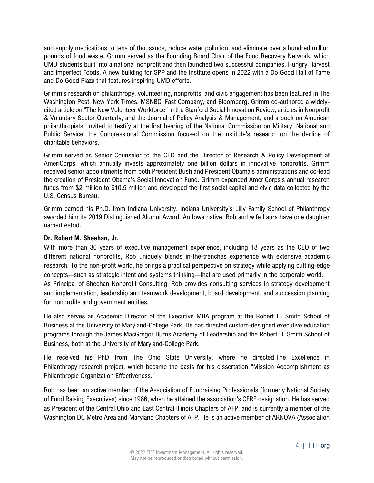and supply medications to tens of thousands, reduce water pollution, and eliminate over a hundred million pounds of food waste. Grimm served as the Founding Board Chair of the Food Recovery Network, which UMD students built into a national nonprofit and then launched two successful companies, Hungry Harvest and Imperfect Foods. A new building for SPP and the Institute opens in 2022 with a Do Good Hall of Fame and Do Good Plaza that features inspiring UMD efforts.

Grimm's research on philanthropy, volunteering, nonprofits, and civic engagement has been featured in The Washington Post, New York Times, MSNBC, Fast Company, and Bloomberg. Grimm co-authored a widelycited article on "The New Volunteer Workforce" in the Stanford Social Innovation Review, articles in Nonprofit & Voluntary Sector Quarterly, and the Journal of Policy Analysis & Management, and a book on American philanthropists. Invited to testify at the first hearing of the National Commission on Military, National and Public Service, the Congressional Commission focused on the Institute's research on the decline of charitable behaviors.

Grimm served as Senior Counselor to the CEO and the Director of Research & Policy Development at AmeriCorps, which annually invests approximately one billion dollars in innovative nonprofits. Grimm received senior appointments from both President Bush and President Obama's administrations and co-lead the creation of President Obama's Social Innovation Fund. Grimm expanded AmeriCorps's annual research funds from \$2 million to \$10.5 million and developed the first social capital and civic data collected by the U.S. Census Bureau.

Grimm earned his Ph.D. from Indiana University. Indiana University's Lilly Family School of Philanthropy awarded him its 2019 Distinguished Alumni Award. An Iowa native, Bob and wife Laura have one daughter named Astrid.

#### **Dr. Robert M. Sheehan, Jr.**

With more than 30 years of executive management experience, including 18 years as the CEO of two different national nonprofits, Rob uniquely blends in-the-trenches experience with extensive academic research. To the non-profit world, he brings a practical perspective on strategy while applying cutting-edge concepts—such as strategic intent and systems thinking—that are used primarily in the corporate world. As Principal of Sheehan Nonprofit Consulting, Rob provides consulting services in strategy development and implementation, leadership and teamwork development, board development, and succession planning for nonprofits and government entities.

He also serves as Academic Director of the Executive MBA program at the Robert H. Smith School of Business at the University of Maryland-College Park. He has directed custom-designed executive education programs through the James MacGregor Burns Academy of Leadership and the Robert H. Smith School of Business, both at the University of Maryland-College Park.

He received his PhD from The Ohio State University, where he directed The Excellence in Philanthropy research project, which became the basis for his dissertation "Mission Accomplishment as Philanthropic Organization Effectiveness."

Rob has been an active member of the Association of Fundraising Professionals (formerly National Society of Fund Raising Executives) since 1986, when he attained the association's CFRE designation. He has served as President of the Central Ohio and East Central Illinois Chapters of AFP, and is currently a member of the Washington DC Metro Area and Maryland Chapters of AFP. He is an active member of ARNOVA (Association